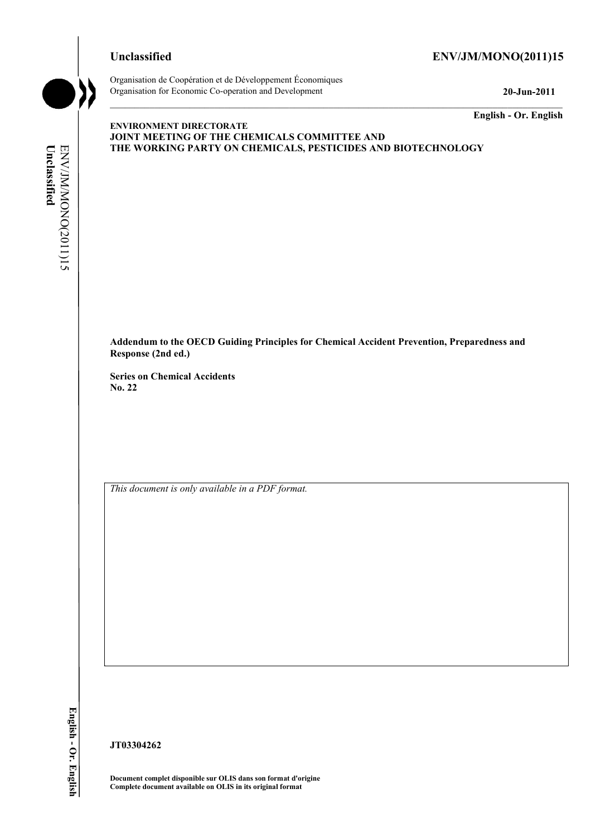# **Unclassified ENV/JM/MONO(2011)15**



**Unclassified** 

Organisation de Coopération et de Développement Économiques Organisation for Economic Co-operation and Development **20-Jun-2011** 

**English - Or. English** 

# **ENVIRONMENT DIRECTORATE JOINT MEETING OF THE CHEMICALS COMMITTEE AND**  ENV/JM/MONO(2011)15<br>Unclassified **THE WORKING PARTY ON CHEMICALS, PESTICIDES AND BIOTECHNOLOGY**  ENV/JM/MONO(2011)15

**Addendum to the OECD Guiding Principles for Chemical Accident Prevention, Preparedness and Response (2nd ed.)** 

**Series on Chemical Accidents No. 22** 

*This document is only available in a PDF format.* 

English - Or. English **English - Or. English**

**JT03304262** 

**Document complet disponible sur OLIS dans son format d'origine Complete document available on OLIS in its original format**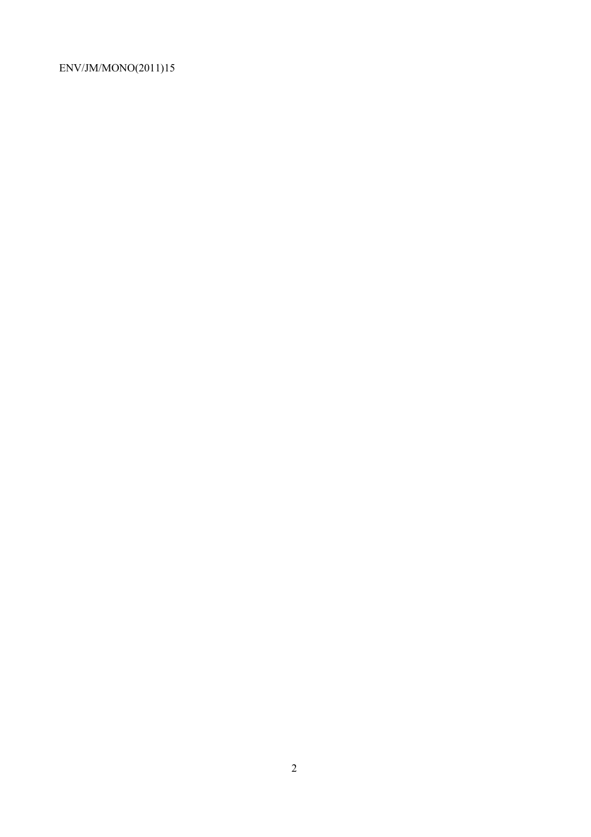# ENV/JM/MONO(2011)15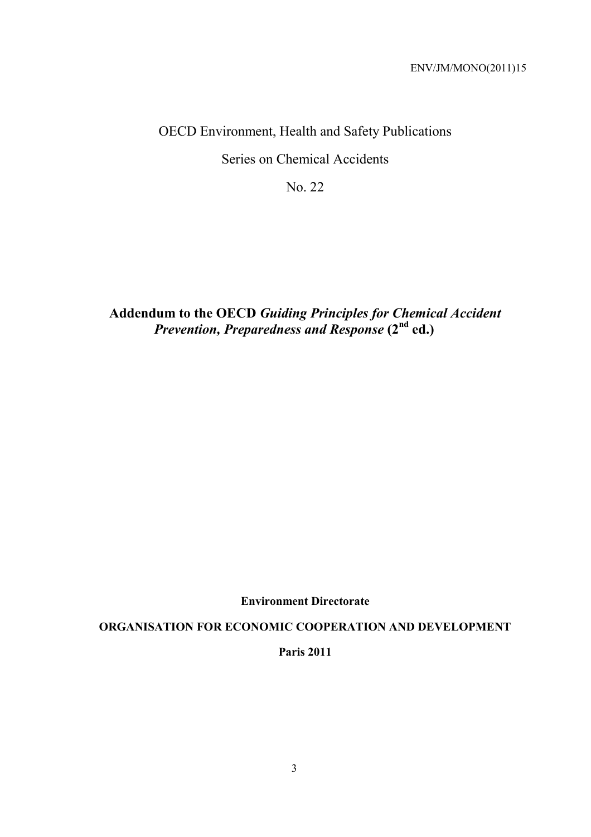OECD Environment, Health and Safety Publications

Series on Chemical Accidents

No. 22

**Addendum to the OECD** *Guiding Principles for Chemical Accident Prevention, Preparedness and Response* **(2nd ed.)** 

**Environment Directorate** 

**ORGANISATION FOR ECONOMIC COOPERATION AND DEVELOPMENT** 

**Paris 2011**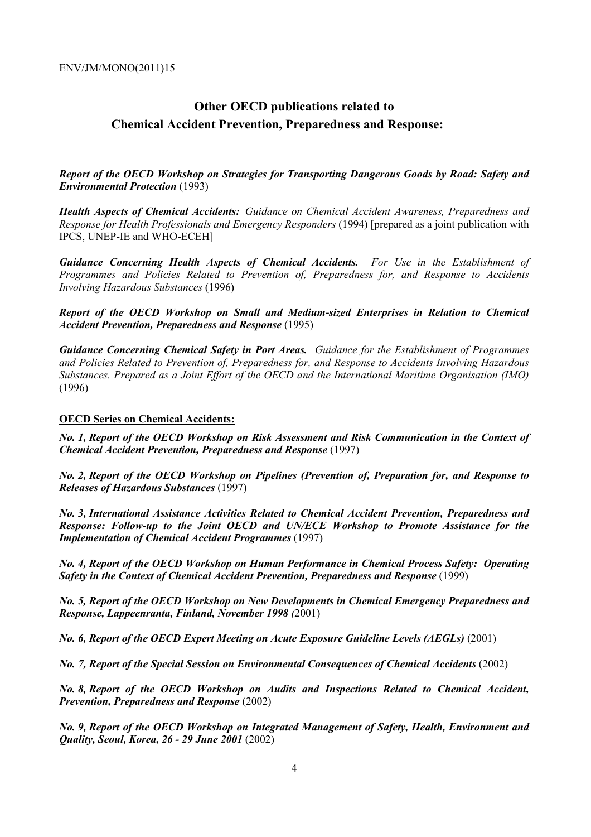# **Other OECD publications related to Chemical Accident Prevention, Preparedness and Response:**

# *Report of the OECD Workshop on Strategies for Transporting Dangerous Goods by Road: Safety and Environmental Protection* (1993)

*Health Aspects of Chemical Accidents: Guidance on Chemical Accident Awareness, Preparedness and Response for Health Professionals and Emergency Responders* (1994) [prepared as a joint publication with IPCS, UNEP-IE and WHO-ECEH]

*Guidance Concerning Health Aspects of Chemical Accidents. For Use in the Establishment of Programmes and Policies Related to Prevention of, Preparedness for, and Response to Accidents Involving Hazardous Substances* (1996)

*Report of the OECD Workshop on Small and Medium-sized Enterprises in Relation to Chemical Accident Prevention, Preparedness and Response* (1995)

*Guidance Concerning Chemical Safety in Port Areas. Guidance for the Establishment of Programmes and Policies Related to Prevention of, Preparedness for, and Response to Accidents Involving Hazardous Substances. Prepared as a Joint Effort of the OECD and the International Maritime Organisation (IMO)*  (1996)

# **OECD Series on Chemical Accidents:**

*No. 1, Report of the OECD Workshop on Risk Assessment and Risk Communication in the Context of Chemical Accident Prevention, Preparedness and Response* (1997)

*No. 2, Report of the OECD Workshop on Pipelines (Prevention of, Preparation for, and Response to Releases of Hazardous Substances* (1997)

*No. 3, International Assistance Activities Related to Chemical Accident Prevention, Preparedness and Response: Follow-up to the Joint OECD and UN/ECE Workshop to Promote Assistance for the Implementation of Chemical Accident Programmes* (1997)

*No. 4, Report of the OECD Workshop on Human Performance in Chemical Process Safety: Operating*  **Safety in the Context of Chemical Accident Prevention, Preparedness and Response** (1999)

*No. 5, Report of the OECD Workshop on New Developments in Chemical Emergency Preparedness and Response, Lappeenranta, Finland, November 1998 (*2001)

*No. 6, Report of the OECD Expert Meeting on Acute Exposure Guideline Levels (AEGLs)* (2001)

*No. 7, Report of the Special Session on Environmental Consequences of Chemical Accidents* (2002)

*No. 8, Report of the OECD Workshop on Audits and Inspections Related to Chemical Accident, Prevention, Preparedness and Response* (2002)

*No. 9, Report of the OECD Workshop on Integrated Management of Safety, Health, Environment and Quality, Seoul, Korea, 26 - 29 June 2001* (2002)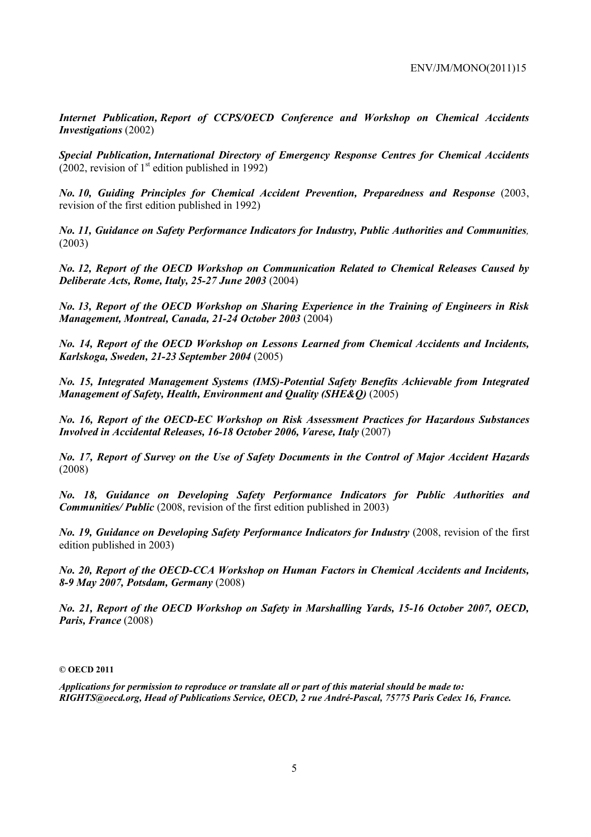*Internet Publication, Report of CCPS/OECD Conference and Workshop on Chemical Accidents Investigations* (2002)

*Special Publication, International Directory of Emergency Response Centres for Chemical Accidents*  $(2002,$  revision of 1<sup>st</sup> edition published in 1992)

*No. 10, Guiding Principles for Chemical Accident Prevention, Preparedness and Response* (2003, revision of the first edition published in 1992)

*No. 11, Guidance on Safety Performance Indicators for Industry, Public Authorities and Communities,*  (2003)

*No. 12, Report of the OECD Workshop on Communication Related to Chemical Releases Caused by Deliberate Acts, Rome, Italy, 25-27 June 2003* (2004)

*No. 13, Report of the OECD Workshop on Sharing Experience in the Training of Engineers in Risk Management, Montreal, Canada, 21-24 October 2003* (2004)

*No. 14, Report of the OECD Workshop on Lessons Learned from Chemical Accidents and Incidents, Karlskoga, Sweden, 21-23 September 2004* (2005)

*No. 15, Integrated Management Systems (IMS)-Potential Safety Benefits Achievable from Integrated Management of Safety, Health, Environment and Quality (SHE&Q)* (2005)

*No. 16, Report of the OECD-EC Workshop on Risk Assessment Practices for Hazardous Substances Involved in Accidental Releases, 16-18 October 2006, Varese, Italy (2007)* 

*No. 17, Report of Survey on the Use of Safety Documents in the Control of Major Accident Hazards* (2008)

*No. 18, Guidance on Developing Safety Performance Indicators for Public Authorities and Communities/ Public* (2008, revision of the first edition published in 2003)

*No. 19, Guidance on Developing Safety Performance Indicators for Industry (2008, revision of the first* edition published in 2003)

*No. 20, Report of the OECD-CCA Workshop on Human Factors in Chemical Accidents and Incidents, 8-9 May 2007, Potsdam, Germany* (2008)

*No. 21, Report of the OECD Workshop on Safety in Marshalling Yards, 15-16 October 2007, OECD, Paris, France* (2008)

**© OECD 2011** 

*Applications for permission to reproduce or translate all or part of this material should be made to: RIGHTS@oecd.org, Head of Publications Service, OECD, 2 rue André-Pascal, 75775 Paris Cedex 16, France.*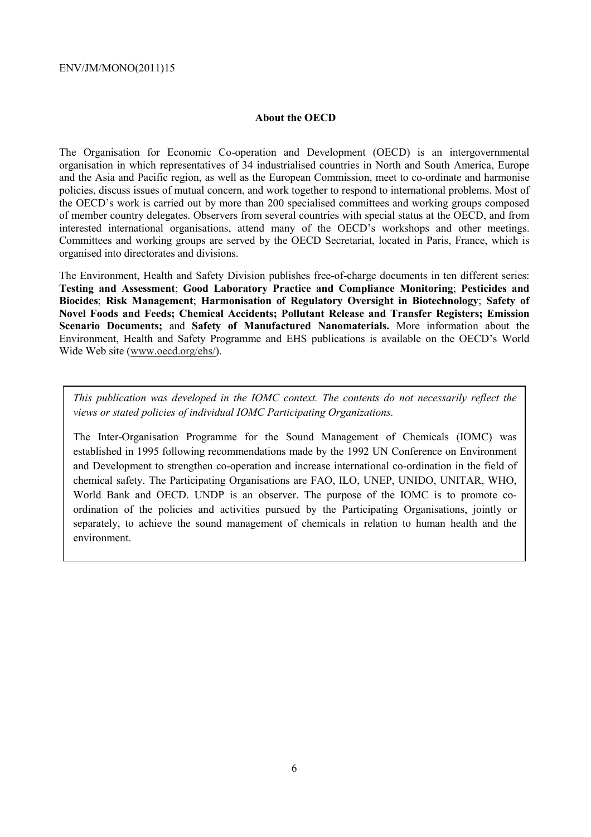#### **About the OECD**

The Organisation for Economic Co-operation and Development (OECD) is an intergovernmental organisation in which representatives of 34 industrialised countries in North and South America, Europe and the Asia and Pacific region, as well as the European Commission, meet to co-ordinate and harmonise policies, discuss issues of mutual concern, and work together to respond to international problems. Most of the OECD's work is carried out by more than 200 specialised committees and working groups composed of member country delegates. Observers from several countries with special status at the OECD, and from interested international organisations, attend many of the OECD's workshops and other meetings. Committees and working groups are served by the OECD Secretariat, located in Paris, France, which is organised into directorates and divisions.

The Environment, Health and Safety Division publishes free-of-charge documents in ten different series: **Testing and Assessment**; **Good Laboratory Practice and Compliance Monitoring**; **Pesticides and Biocides**; **Risk Management**; **Harmonisation of Regulatory Oversight in Biotechnology**; **Safety of Novel Foods and Feeds; Chemical Accidents; Pollutant Release and Transfer Registers; Emission Scenario Documents;** and **Safety of Manufactured Nanomaterials.** More information about the Environment, Health and Safety Programme and EHS publications is available on the OECD's World Wide Web site (www.oecd.org/ehs/).

*This publication was developed in the IOMC context. The contents do not necessarily reflect the views or stated policies of individual IOMC Participating Organizations.* 

The Inter-Organisation Programme for the Sound Management of Chemicals (IOMC) was established in 1995 following recommendations made by the 1992 UN Conference on Environment and Development to strengthen co-operation and increase international co-ordination in the field of chemical safety. The Participating Organisations are FAO, ILO, UNEP, UNIDO, UNITAR, WHO, World Bank and OECD. UNDP is an observer. The purpose of the IOMC is to promote coordination of the policies and activities pursued by the Participating Organisations, jointly or separately, to achieve the sound management of chemicals in relation to human health and the environment.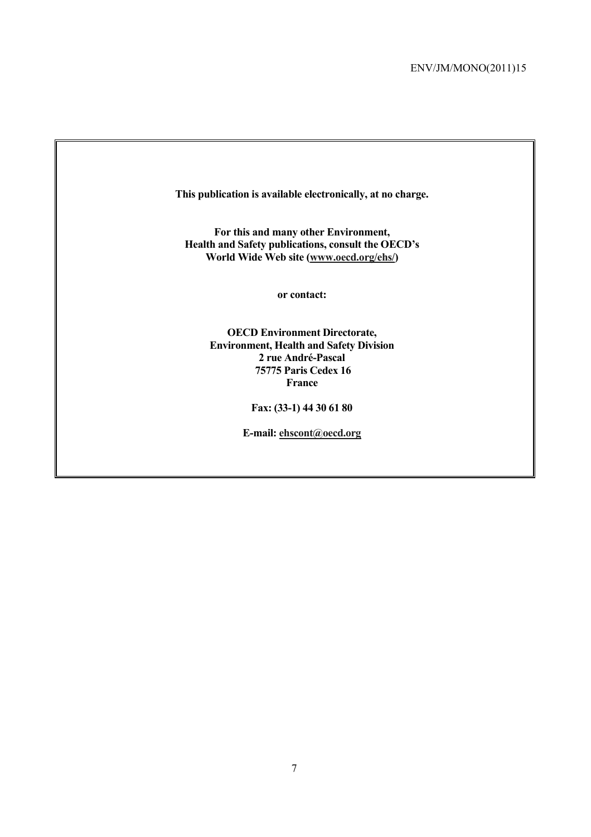**This publication is available electronically, at no charge.** 

**For this and many other Environment, Health and Safety publications, consult the OECD's World Wide Web site (www.oecd.org/ehs/)** 

**or contact:** 

**OECD Environment Directorate, Environment, Health and Safety Division 2 rue André-Pascal 75775 Paris Cedex 16 France** 

**Fax: (33-1) 44 30 61 80** 

**E-mail: ehscont@oecd.org**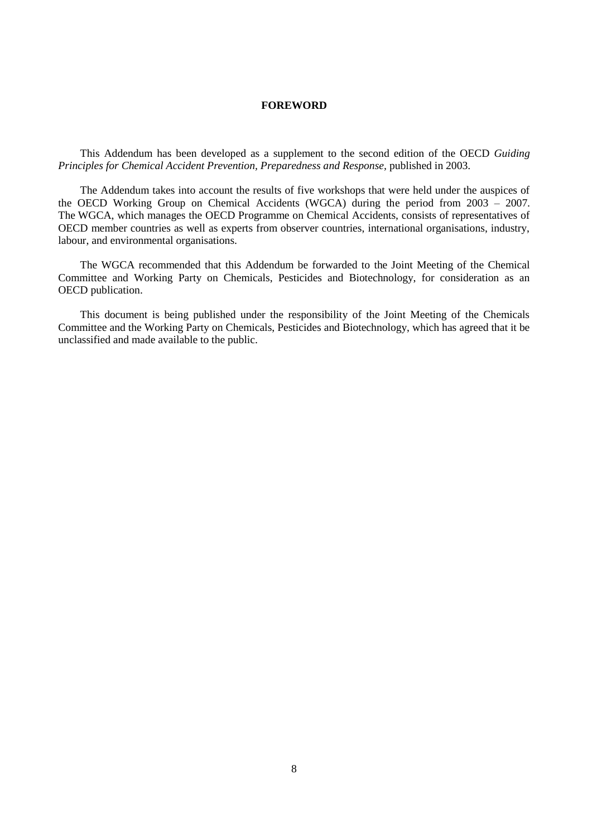#### **FOREWORD**

This Addendum has been developed as a supplement to the second edition of the OECD *Guiding Principles for Chemical Accident Prevention, Preparedness and Response,* published in 2003.

The Addendum takes into account the results of five workshops that were held under the auspices of the OECD Working Group on Chemical Accidents (WGCA) during the period from 2003 – 2007. The WGCA, which manages the OECD Programme on Chemical Accidents, consists of representatives of OECD member countries as well as experts from observer countries, international organisations, industry, labour, and environmental organisations.

The WGCA recommended that this Addendum be forwarded to the Joint Meeting of the Chemical Committee and Working Party on Chemicals, Pesticides and Biotechnology, for consideration as an OECD publication.

This document is being published under the responsibility of the Joint Meeting of the Chemicals Committee and the Working Party on Chemicals, Pesticides and Biotechnology, which has agreed that it be unclassified and made available to the public.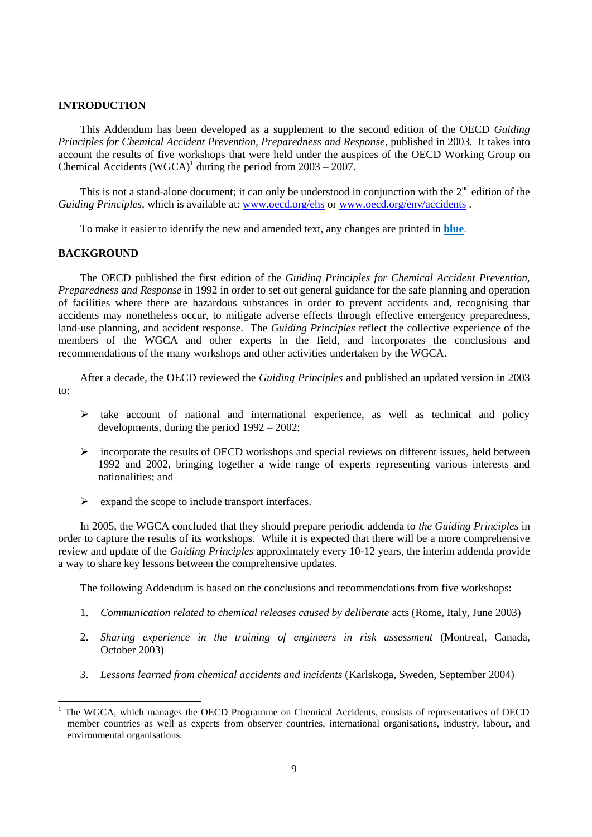#### **INTRODUCTION**

This Addendum has been developed as a supplement to the second edition of the OECD *Guiding Principles for Chemical Accident Prevention, Preparedness and Response,* published in 2003. It takes into account the results of five workshops that were held under the auspices of the OECD Working Group on Chemical Accidents (WGCA)<sup>1</sup> during the period from  $2003 - 2007$ .

This is not a stand-alone document; it can only be understood in conjunction with the  $2<sup>nd</sup>$  edition of the *Guiding Principles,* which is available at: [www.oecd.org/ehs](http://www.oecd.org/ehs) or [www.oecd.org/env/accidents](http://www.oecd.org/env/accidents) .

To make it easier to identify the new and amended text, any changes are printed in **blue**.

#### **BACKGROUND**

l

The OECD published the first edition of the *Guiding Principles for Chemical Accident Prevention, Preparedness and Response* in 1992 in order to set out general guidance for the safe planning and operation of facilities where there are hazardous substances in order to prevent accidents and, recognising that accidents may nonetheless occur, to mitigate adverse effects through effective emergency preparedness, land-use planning, and accident response. The *Guiding Principles* reflect the collective experience of the members of the WGCA and other experts in the field, and incorporates the conclusions and recommendations of the many workshops and other activities undertaken by the WGCA.

After a decade, the OECD reviewed the *Guiding Principles* and published an updated version in 2003 to:

- $\triangleright$  take account of national and international experience, as well as technical and policy developments, during the period 1992 – 2002;
- $\triangleright$  incorporate the results of OECD workshops and special reviews on different issues, held between 1992 and 2002, bringing together a wide range of experts representing various interests and nationalities; and
- $\triangleright$  expand the scope to include transport interfaces.

In 2005, the WGCA concluded that they should prepare periodic addenda to *the Guiding Principles* in order to capture the results of its workshops. While it is expected that there will be a more comprehensive review and update of the *Guiding Principles* approximately every 10-12 years, the interim addenda provide a way to share key lessons between the comprehensive updates.

The following Addendum is based on the conclusions and recommendations from five workshops:

- 1. *Communication related to chemical releases caused by deliberate* acts (Rome, Italy, June 2003)
- 2. *Sharing experience in the training of engineers in risk assessment* (Montreal, Canada, October 2003)
- 3. *Lessons learned from chemical accidents and incidents* (Karlskoga, Sweden, September 2004)

The WGCA, which manages the OECD Programme on Chemical Accidents, consists of representatives of OECD member countries as well as experts from observer countries, international organisations, industry, labour, and environmental organisations.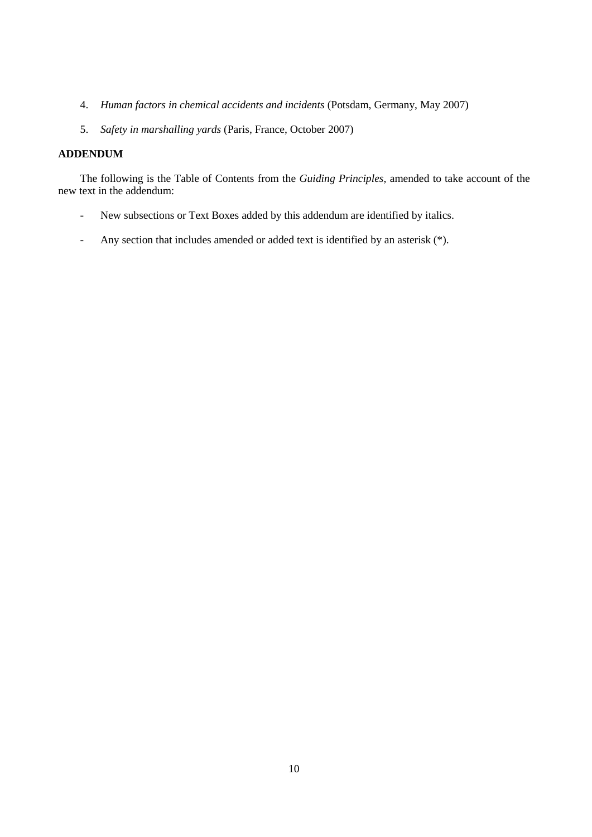- 4. *Human factors in chemical accidents and incidents* (Potsdam, Germany, May 2007)
- 5. *Safety in marshalling yards* (Paris, France, October 2007)

# **ADDENDUM**

The following is the Table of Contents from the *Guiding Principles*, amended to take account of the new text in the addendum:

- New subsections or Text Boxes added by this addendum are identified by italics.
- Any section that includes amended or added text is identified by an asterisk (\*).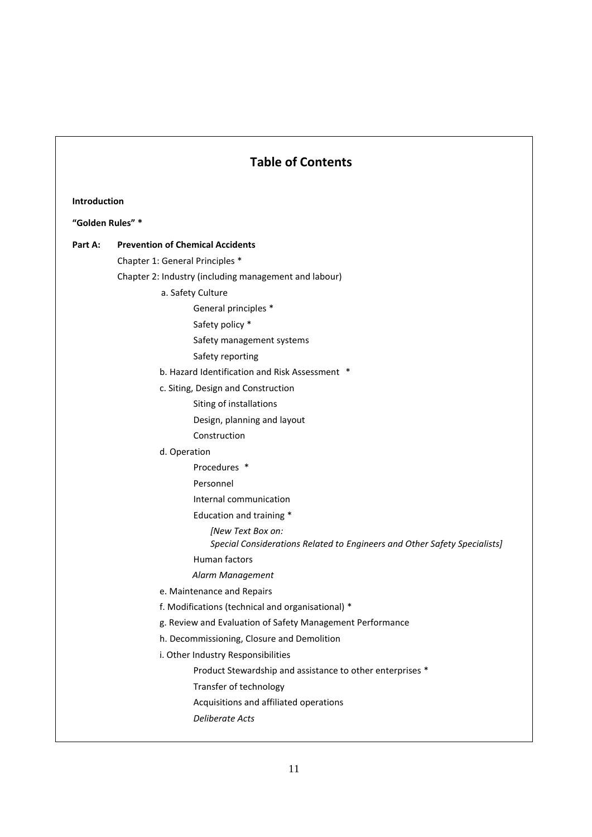# **Table of Contents**

| "Golden Rules" * |                                                                                                |
|------------------|------------------------------------------------------------------------------------------------|
|                  |                                                                                                |
| Part A:          | <b>Prevention of Chemical Accidents</b>                                                        |
|                  | Chapter 1: General Principles *                                                                |
|                  | Chapter 2: Industry (including management and labour)                                          |
|                  | a. Safety Culture                                                                              |
|                  | General principles *                                                                           |
|                  | Safety policy *                                                                                |
|                  | Safety management systems                                                                      |
|                  | Safety reporting                                                                               |
|                  | b. Hazard Identification and Risk Assessment *                                                 |
|                  | c. Siting, Design and Construction                                                             |
|                  | Siting of installations                                                                        |
|                  | Design, planning and layout                                                                    |
|                  | Construction                                                                                   |
|                  | d. Operation                                                                                   |
|                  | Procedures *                                                                                   |
|                  | Personnel                                                                                      |
|                  | Internal communication                                                                         |
|                  | Education and training *                                                                       |
|                  | [New Text Box on:<br>Special Considerations Related to Engineers and Other Safety Specialists] |
|                  | Human factors                                                                                  |
|                  | Alarm Management                                                                               |
|                  | e. Maintenance and Repairs                                                                     |
|                  | f. Modifications (technical and organisational) *                                              |
|                  | g. Review and Evaluation of Safety Management Performance                                      |
|                  | h. Decommissioning, Closure and Demolition                                                     |
|                  | i. Other Industry Responsibilities                                                             |
|                  | Product Stewardship and assistance to other enterprises *                                      |
|                  | Transfer of technology                                                                         |
|                  | Acquisitions and affiliated operations                                                         |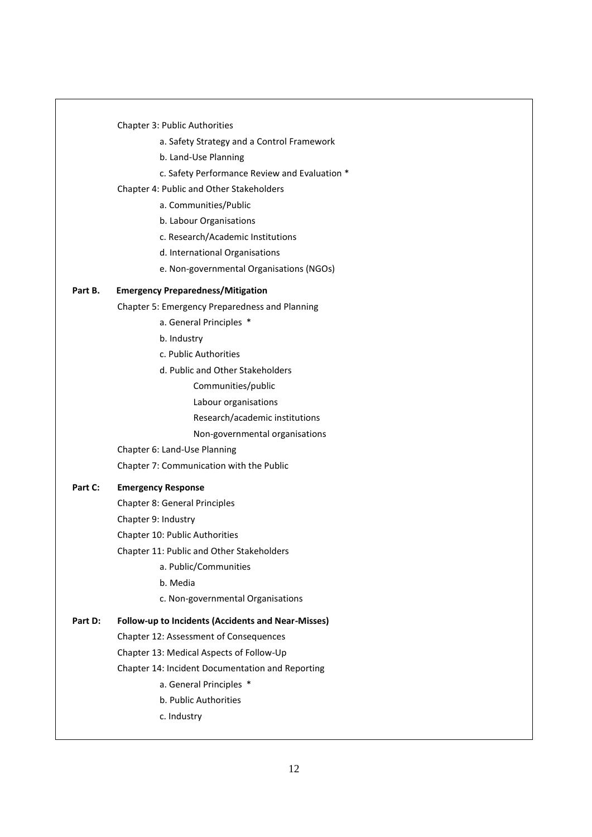Chapter 3: Public Authorities

- a. Safety Strategy and a Control Framework
- b. Land-Use Planning
- c. Safety Performance Review and Evaluation \*
- Chapter 4: Public and Other Stakeholders
	- a. Communities/Public
	- b. Labour Organisations
	- c. Research/Academic Institutions
	- d. International Organisations
	- e. Non-governmental Organisations (NGOs)

#### **Part B. Emergency Preparedness/Mitigation**

Chapter 5: Emergency Preparedness and Planning

- a. General Principles \*
- b. Industry
- c. Public Authorities
- d. Public and Other Stakeholders
	- Communities/public
	- Labour organisations
	- Research/academic institutions
	- Non-governmental organisations

Chapter 6: Land-Use Planning

Chapter 7: Communication with the Public

#### **Part C: Emergency Response**

Chapter 8: General Principles

Chapter 9: Industry

Chapter 10: Public Authorities

Chapter 11: Public and Other Stakeholders

- a. Public/Communities
- b. Media
- c. Non-governmental Organisations

#### **Part D: Follow-up to Incidents (Accidents and Near-Misses)**

- Chapter 12: Assessment of Consequences
- Chapter 13: Medical Aspects of Follow-Up
- Chapter 14: Incident Documentation and Reporting
	- a. General Principles \*
	- b. Public Authorities
	- c. Industry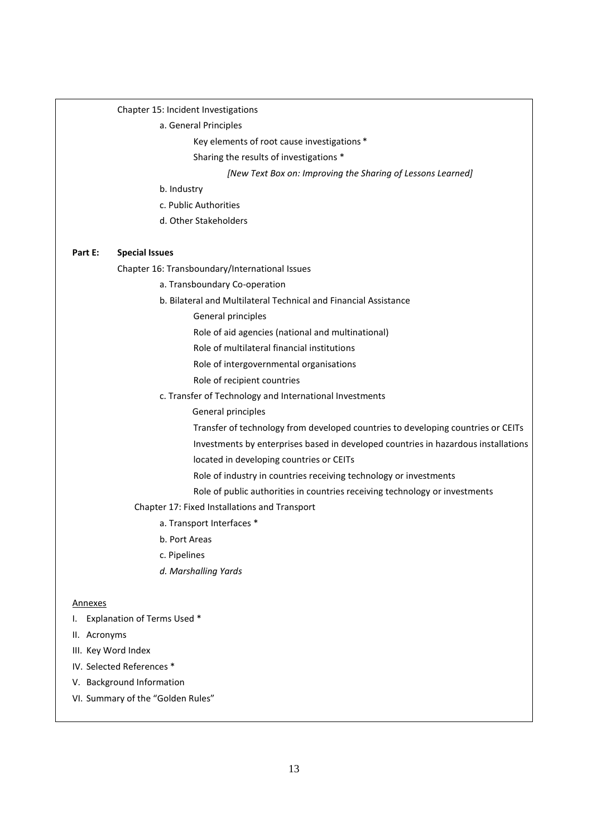|                | Chapter 15: Incident Investigations                                                |
|----------------|------------------------------------------------------------------------------------|
|                | a. General Principles                                                              |
|                | Key elements of root cause investigations *                                        |
|                | Sharing the results of investigations *                                            |
|                | [New Text Box on: Improving the Sharing of Lessons Learned]                        |
|                | b. Industry                                                                        |
|                | c. Public Authorities                                                              |
|                | d. Other Stakeholders                                                              |
| Part E:        | <b>Special Issues</b>                                                              |
|                | Chapter 16: Transboundary/International Issues                                     |
|                | a. Transboundary Co-operation                                                      |
|                | b. Bilateral and Multilateral Technical and Financial Assistance                   |
|                | General principles                                                                 |
|                | Role of aid agencies (national and multinational)                                  |
|                | Role of multilateral financial institutions                                        |
|                | Role of intergovernmental organisations                                            |
|                | Role of recipient countries                                                        |
|                | c. Transfer of Technology and International Investments                            |
|                | General principles                                                                 |
|                | Transfer of technology from developed countries to developing countries or CEITs   |
|                | Investments by enterprises based in developed countries in hazardous installations |
|                | located in developing countries or CEITs                                           |
|                | Role of industry in countries receiving technology or investments                  |
|                | Role of public authorities in countries receiving technology or investments        |
|                | Chapter 17: Fixed Installations and Transport                                      |
|                | a. Transport Interfaces *                                                          |
|                | b. Port Areas                                                                      |
|                | c. Pipelines                                                                       |
|                | d. Marshalling Yards                                                               |
| <b>Annexes</b> |                                                                                    |
| ı.             | Explanation of Terms Used *                                                        |
| II. Acronyms   |                                                                                    |
|                | III. Key Word Index                                                                |
|                | IV. Selected References *                                                          |
|                | V. Background Information                                                          |
|                | VI. Summary of the "Golden Rules"                                                  |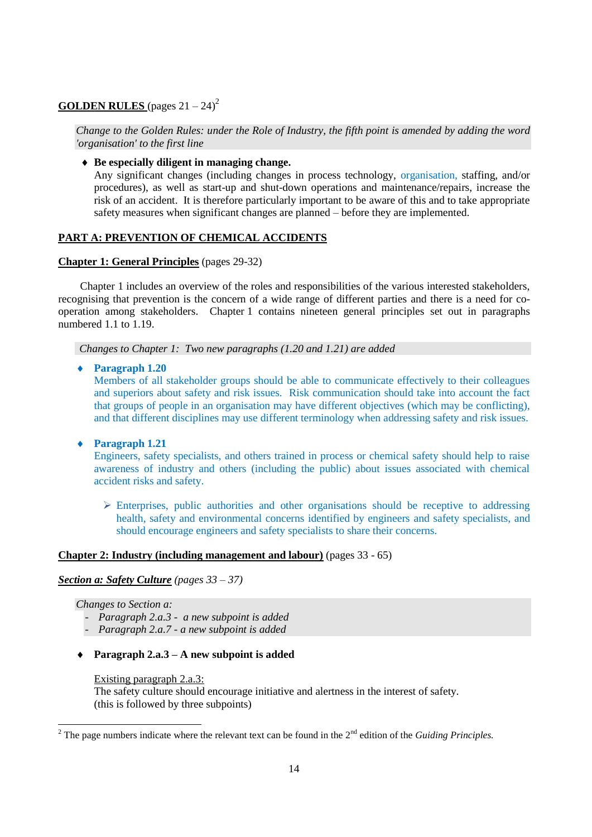# **GOLDEN RULES** (pages  $21 - 24$ )<sup>2</sup>

*Change to the Golden Rules: under the Role of Industry, the fifth point is amended by adding the word 'organisation' to the first line*

**Be especially diligent in managing change.**

Any significant changes (including changes in process technology, organisation*,* staffing, and/or procedures), as well as start-up and shut-down operations and maintenance/repairs, increase the risk of an accident. It is therefore particularly important to be aware of this and to take appropriate safety measures when significant changes are planned – before they are implemented.

#### **PART A: PREVENTION OF CHEMICAL ACCIDENTS**

#### **Chapter 1: General Principles** (pages 29-32)

Chapter 1 includes an overview of the roles and responsibilities of the various interested stakeholders, recognising that prevention is the concern of a wide range of different parties and there is a need for cooperation among stakeholders. Chapter 1 contains nineteen general principles set out in paragraphs numbered 1.1 to 1.19.

*Changes to Chapter 1: Two new paragraphs (1.20 and 1.21) are added* 

#### **Paragraph 1.20**

Members of all stakeholder groups should be able to communicate effectively to their colleagues and superiors about safety and risk issues. Risk communication should take into account the fact that groups of people in an organisation may have different objectives (which may be conflicting), and that different disciplines may use different terminology when addressing safety and risk issues.

#### **Paragraph 1.21**

Engineers, safety specialists, and others trained in process or chemical safety should help to raise awareness of industry and others (including the public) about issues associated with chemical accident risks and safety.

 $\triangleright$  Enterprises, public authorities and other organisations should be receptive to addressing health, safety and environmental concerns identified by engineers and safety specialists, and should encourage engineers and safety specialists to share their concerns.

#### **Chapter 2: Industry (including management and labour)** (pages 33 - 65)

#### *Section a: Safety Culture (pages 33 – 37)*

*Changes to Section a:* 

 $\overline{\phantom{a}}$ 

- *Paragraph 2.a.3 a new subpoint is added*
- *Paragraph 2.a.7 - a new subpoint is added*
- **Paragraph 2.a.3 – A new subpoint is added**

Existing paragraph 2.a.3:

The safety culture should encourage initiative and alertness in the interest of safety. (this is followed by three subpoints)

<sup>&</sup>lt;sup>2</sup> The page numbers indicate where the relevant text can be found in the  $2<sup>nd</sup>$  edition of the *Guiding Principles*.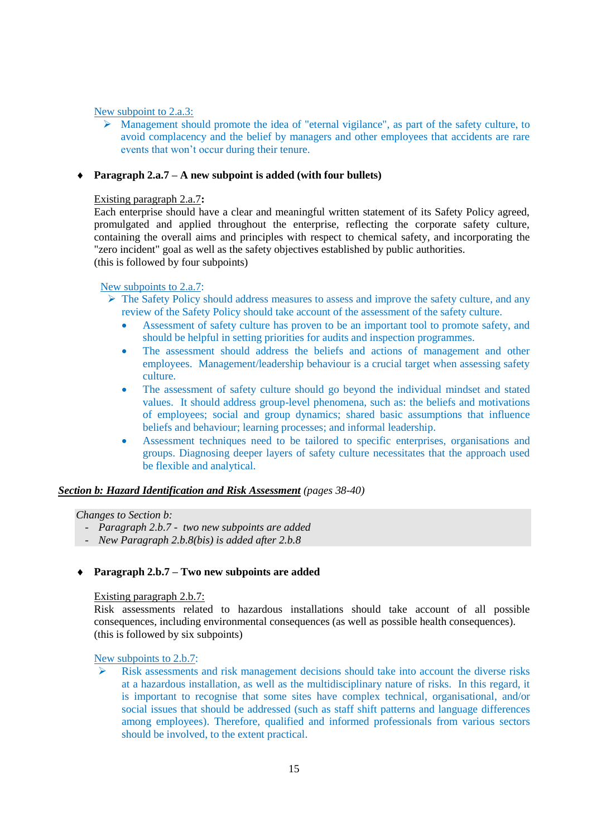#### New subpoint to 2.a.3:

 Management should promote the idea of "eternal vigilance", as part of the safety culture, to avoid complacency and the belief by managers and other employees that accidents are rare events that won't occur during their tenure.

#### **Paragraph 2.a.7 – A new subpoint is added (with four bullets)**

#### Existing paragraph 2.a.7**:**

Each enterprise should have a clear and meaningful written statement of its Safety Policy agreed, promulgated and applied throughout the enterprise, reflecting the corporate safety culture, containing the overall aims and principles with respect to chemical safety, and incorporating the "zero incident" goal as well as the safety objectives established by public authorities. (this is followed by four subpoints)

#### New subpoints to 2.a.7:

- $\triangleright$  The Safety Policy should address measures to assess and improve the safety culture, and any review of the Safety Policy should take account of the assessment of the safety culture.
	- Assessment of safety culture has proven to be an important tool to promote safety, and should be helpful in setting priorities for audits and inspection programmes.
	- The assessment should address the beliefs and actions of management and other employees. Management/leadership behaviour is a crucial target when assessing safety culture.
	- The assessment of safety culture should go beyond the individual mindset and stated values. It should address group-level phenomena, such as: the beliefs and motivations of employees; social and group dynamics; shared basic assumptions that influence beliefs and behaviour; learning processes; and informal leadership.
	- Assessment techniques need to be tailored to specific enterprises, organisations and groups. Diagnosing deeper layers of safety culture necessitates that the approach used be flexible and analytical.

# *Section b: Hazard Identification and Risk Assessment (pages 38-40)*

#### *Changes to Section b:*

- *Paragraph 2.b.7 two new subpoints are added*
- *New Paragraph 2.b.8(bis) is added after 2.b.8*

# **Paragraph 2.b.7 – Two new subpoints are added**

#### Existing paragraph 2.b.7:

Risk assessments related to hazardous installations should take account of all possible consequences, including environmental consequences (as well as possible health consequences). (this is followed by six subpoints)

#### New subpoints to 2.b.7:

 $\triangleright$  Risk assessments and risk management decisions should take into account the diverse risks at a hazardous installation, as well as the multidisciplinary nature of risks. In this regard, it is important to recognise that some sites have complex technical, organisational, and/or social issues that should be addressed (such as staff shift patterns and language differences among employees). Therefore, qualified and informed professionals from various sectors should be involved, to the extent practical.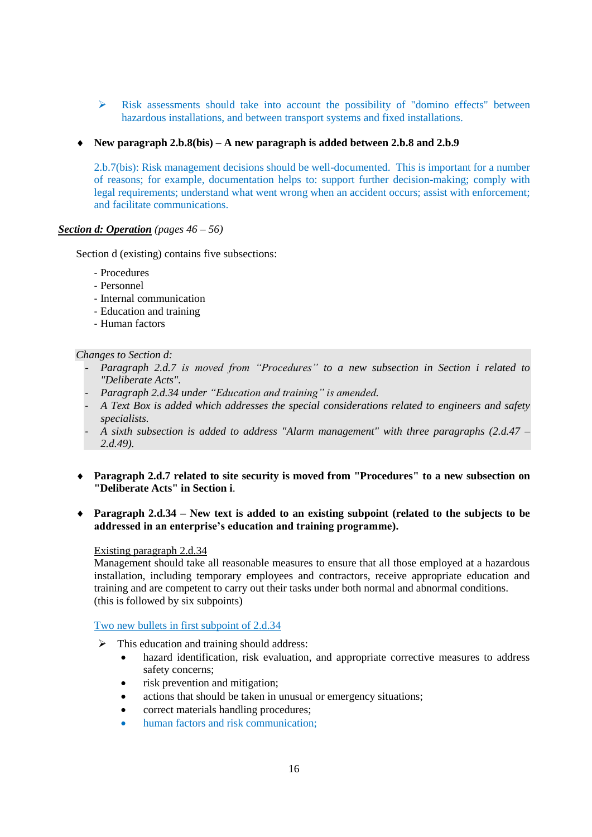- $\triangleright$  Risk assessments should take into account the possibility of "domino effects" between hazardous installations, and between transport systems and fixed installations.
- **New paragraph 2.b.8(bis) – A new paragraph is added between 2.b.8 and 2.b.9**

2.b.7(bis): Risk management decisions should be well-documented. This is important for a number of reasons; for example, documentation helps to: support further decision-making; comply with legal requirements; understand what went wrong when an accident occurs; assist with enforcement; and facilitate communications.

#### *Section d: Operation (pages 46 – 56)*

Section d (existing) contains five subsections:

- Procedures
- Personnel
- Internal communication
- Education and training
- Human factors

#### *Changes to Section d:*

- *Paragraph 2.d.7 is moved from "Procedures" to a new subsection in Section i related to "Deliberate Acts".*
- *Paragraph 2.d.34 under "Education and training" is amended.*
- *A Text Box is added which addresses the special considerations related to engineers and safety specialists.*
- *A sixth subsection is added to address "Alarm management" with three paragraphs (2.d.47 – 2.d.49).*
- **Paragraph 2.d.7 related to site security is moved from "Procedures" to a new subsection on "Deliberate Acts" in Section i**.
- **Paragraph 2.d.34 – New text is added to an existing subpoint (related to the subjects to be addressed in an enterprise's education and training programme).**

#### Existing paragraph 2.d.34

Management should take all reasonable measures to ensure that all those employed at a hazardous installation, including temporary employees and contractors, receive appropriate education and training and are competent to carry out their tasks under both normal and abnormal conditions. (this is followed by six subpoints)

#### Two new bullets in first subpoint of 2.d.34

- $\triangleright$  This education and training should address:
	- hazard identification, risk evaluation, and appropriate corrective measures to address safety concerns;
	- risk prevention and mitigation;
	- actions that should be taken in unusual or emergency situations;
	- correct materials handling procedures;
	- human factors and risk communication;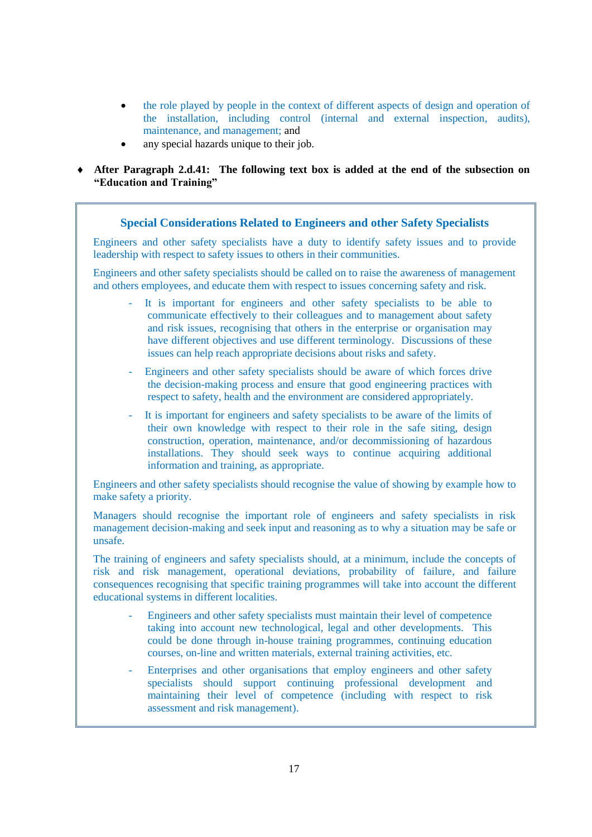- the role played by people in the context of different aspects of design and operation of the installation, including control (internal and external inspection, audits), maintenance, and management; and
- any special hazards unique to their job.
- **After Paragraph 2.d.41: The following text box is added at the end of the subsection on "Education and Training"**

| <b>Special Considerations Related to Engineers and other Safety Specialists</b>                                                                                                                                                                                                                                                                                                                  |  |  |
|--------------------------------------------------------------------------------------------------------------------------------------------------------------------------------------------------------------------------------------------------------------------------------------------------------------------------------------------------------------------------------------------------|--|--|
| Engineers and other safety specialists have a duty to identify safety issues and to provide<br>leadership with respect to safety issues to others in their communities.                                                                                                                                                                                                                          |  |  |
| Engineers and other safety specialists should be called on to raise the awareness of management<br>and others employees, and educate them with respect to issues concerning safety and risk.                                                                                                                                                                                                     |  |  |
| It is important for engineers and other safety specialists to be able to<br>communicate effectively to their colleagues and to management about safety<br>and risk issues, recognising that others in the enterprise or organisation may<br>have different objectives and use different terminology. Discussions of these<br>issues can help reach appropriate decisions about risks and safety. |  |  |
| Engineers and other safety specialists should be aware of which forces drive<br>the decision-making process and ensure that good engineering practices with<br>respect to safety, health and the environment are considered appropriately.                                                                                                                                                       |  |  |
| It is important for engineers and safety specialists to be aware of the limits of<br>their own knowledge with respect to their role in the safe siting, design<br>construction, operation, maintenance, and/or decommissioning of hazardous<br>installations. They should seek ways to continue acquiring additional<br>information and training, as appropriate.                                |  |  |
| Engineers and other safety specialists should recognise the value of showing by example how to<br>make safety a priority.                                                                                                                                                                                                                                                                        |  |  |
| Managers should recognise the important role of engineers and safety specialists in risk<br>management decision-making and seek input and reasoning as to why a situation may be safe or<br>unsafe.                                                                                                                                                                                              |  |  |
| The training of engineers and safety specialists should, at a minimum, include the concepts of<br>risk and risk management, operational deviations, probability of failure, and failure<br>consequences recognising that specific training programmes will take into account the different<br>educational systems in different localities.                                                       |  |  |
| Engineers and other safety specialists must maintain their level of competence<br>taking into account new technological, legal and other developments. This<br>could be done through in-house training programmes, continuing education<br>courses, on-line and written materials, external training activities, etc.                                                                            |  |  |
| Enterprises and other organisations that employ engineers and other safety<br>$\equiv$<br>should support continuing professional development<br>specialists<br>and<br>maintaining their level of competence (including with respect to risk<br>assessment and risk management).                                                                                                                  |  |  |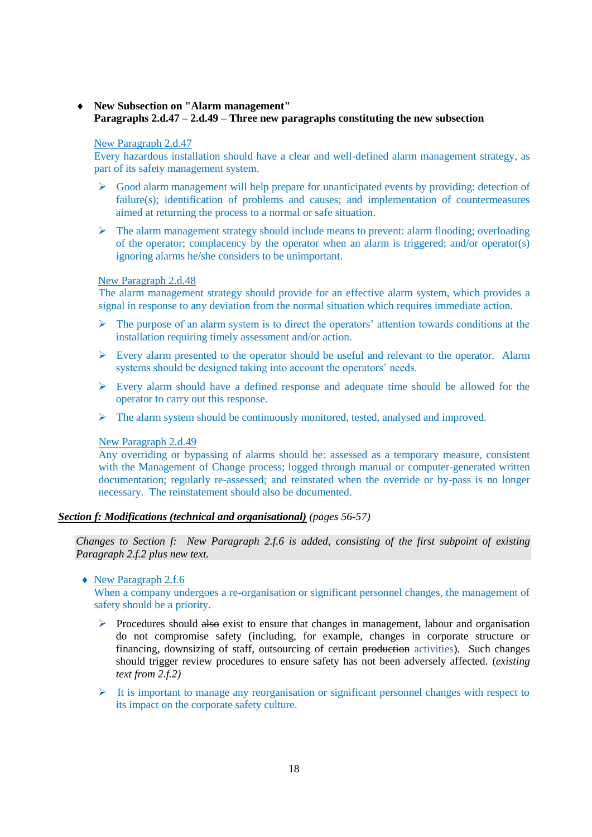# **New Subsection on "Alarm management"**

# **Paragraphs 2.d.47 – 2.d.49 – Three new paragraphs constituting the new subsection**

#### New Paragraph 2.d.47

Every hazardous installation should have a clear and well-defined alarm management strategy, as part of its safety management system.

- $\triangleright$  Good alarm management will help prepare for unanticipated events by providing: detection of failure(s); identification of problems and causes; and implementation of countermeasures aimed at returning the process to a normal or safe situation.
- $\triangleright$  The alarm management strategy should include means to prevent: alarm flooding; overloading of the operator; complacency by the operator when an alarm is triggered; and/or operator(s) ignoring alarms he/she considers to be unimportant.

#### New Paragraph 2.d.48

The alarm management strategy should provide for an effective alarm system, which provides a signal in response to any deviation from the normal situation which requires immediate action.

- The purpose of an alarm system is to direct the operators' attention towards conditions at the installation requiring timely assessment and/or action.
- $\triangleright$  Every alarm presented to the operator should be useful and relevant to the operator. Alarm systems should be designed taking into account the operators' needs.
- Every alarm should have a defined response and adequate time should be allowed for the operator to carry out this response.
- $\triangleright$  The alarm system should be continuously monitored, tested, analysed and improved.

# New Paragraph 2.d.49

Any overriding or bypassing of alarms should be: assessed as a temporary measure, consistent with the Management of Change process; logged through manual or computer-generated written documentation; regularly re-assessed; and reinstated when the override or by-pass is no longer necessary. The reinstatement should also be documented.

# *Section f: Modifications (technical and organisational) (pages 56-57)*

*Changes to Section f: New Paragraph 2.f.6 is added, consisting of the first subpoint of existing Paragraph 2.f.2 plus new text.*

# ◆ New Paragraph 2.f.6

When a company undergoes a re-organisation or significant personnel changes, the management of safety should be a priority.

- Procedures should also exist to ensure that changes in management, labour and organisation do not compromise safety (including, for example, changes in corporate structure or financing, downsizing of staff, outsourcing of certain production activities). Such changes should trigger review procedures to ensure safety has not been adversely affected. (*existing text from 2.f.2)*
- $\triangleright$  It is important to manage any reorganisation or significant personnel changes with respect to its impact on the corporate safety culture.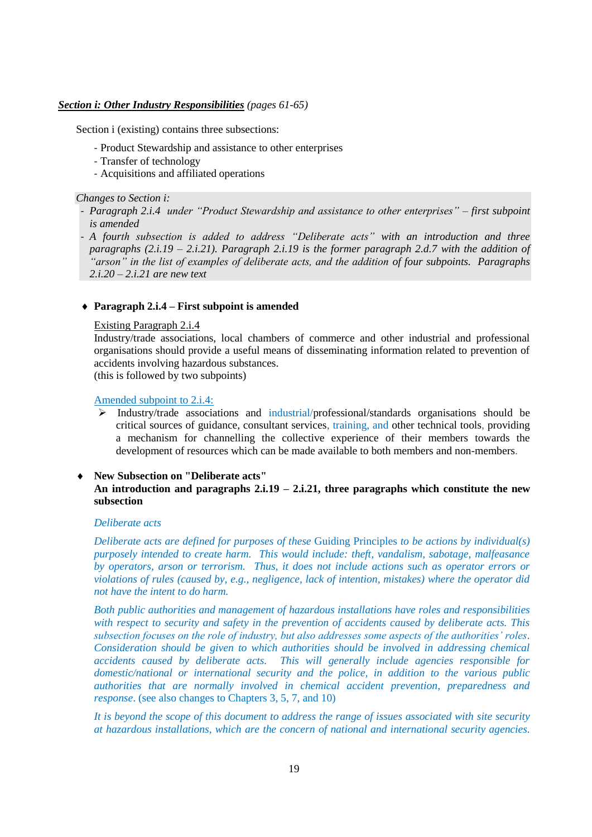#### *Section i: Other Industry Responsibilities (pages 61-65)*

Section i (existing) contains three subsections:

- Product Stewardship and assistance to other enterprises
- Transfer of technology
- Acquisitions and affiliated operations

*Changes to Section i:* 

- *Paragraph 2.i.4 under "Product Stewardship and assistance to other enterprises" – first subpoint is amended*
- *A fourth subsection is added to address "Deliberate acts" with an introduction and three paragraphs (2.i.19 – 2.i.21). Paragraph 2.i.19 is the former paragraph 2.d.7 with the addition of "arson" in the list of examples of deliberate acts, and the addition of four subpoints. Paragraphs 2.i.20 – 2.i.21 are new text*

#### **Paragraph 2.i.4 – First subpoint is amended**

#### Existing Paragraph 2.i.4

Industry/trade associations, local chambers of commerce and other industrial and professional organisations should provide a useful means of disseminating information related to prevention of accidents involving hazardous substances. (this is followed by two subpoints)

Amended subpoint to 2.i.4:

- Industry/trade associations and industrial/professional/standards organisations should be critical sources of guidance, consultant services, training, and other technical tools, providing a mechanism for channelling the collective experience of their members towards the development of resources which can be made available to both members and non-members.
- **New Subsection on "Deliberate acts" An introduction and paragraphs 2.i.19 – 2.i.21, three paragraphs which constitute the new subsection**

#### *Deliberate acts*

*Deliberate acts are defined for purposes of these* Guiding Principles *to be actions by individual(s) purposely intended to create harm. This would include: theft, vandalism, sabotage, malfeasance by operators, arson or terrorism. Thus, it does not include actions such as operator errors or violations of rules (caused by, e.g., negligence, lack of intention, mistakes) where the operator did not have the intent to do harm.*

*Both public authorities and management of hazardous installations have roles and responsibilities with respect to security and safety in the prevention of accidents caused by deliberate acts. This subsection focuses on the role of industry, but also addresses some aspects of the authorities' roles. Consideration should be given to which authorities should be involved in addressing chemical accidents caused by deliberate acts. This will generally include agencies responsible for domestic/national or international security and the police, in addition to the various public authorities that are normally involved in chemical accident prevention, preparedness and response*. (see also changes to Chapters 3, 5, 7, and 10)

*It is beyond the scope of this document to address the range of issues associated with site security at hazardous installations, which are the concern of national and international security agencies.*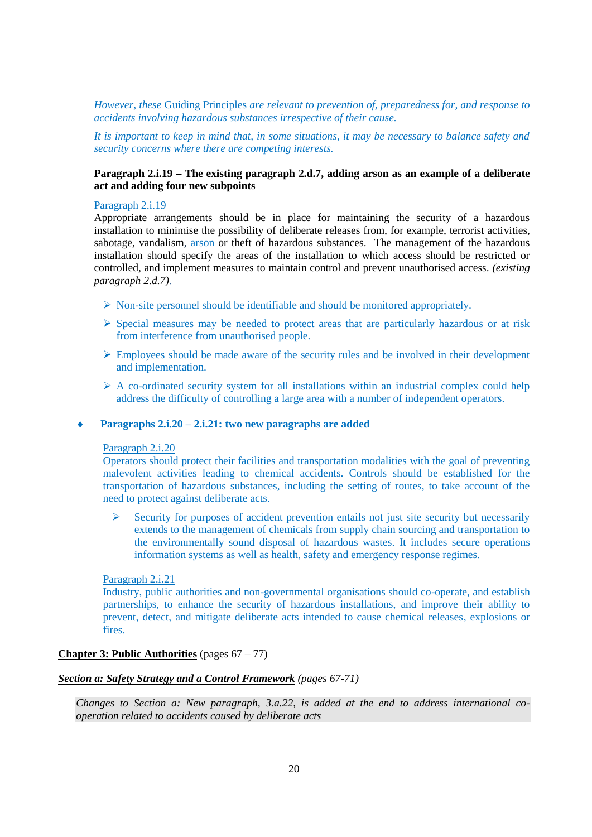*However, these* Guiding Principles *are relevant to prevention of, preparedness for, and response to accidents involving hazardous substances irrespective of their cause.*

*It is important to keep in mind that, in some situations, it may be necessary to balance safety and security concerns where there are competing interests.*

#### **Paragraph 2.i.19 – The existing paragraph 2.d.7, adding arson as an example of a deliberate act and adding four new subpoints**

#### Paragraph 2.i.19

Appropriate arrangements should be in place for maintaining the security of a hazardous installation to minimise the possibility of deliberate releases from, for example, terrorist activities, sabotage, vandalism, arson or theft of hazardous substances. The management of the hazardous installation should specify the areas of the installation to which access should be restricted or controlled, and implement measures to maintain control and prevent unauthorised access. *(existing paragraph 2.d.7)*.

- $\triangleright$  Non-site personnel should be identifiable and should be monitored appropriately.
- $\triangleright$  Special measures may be needed to protect areas that are particularly hazardous or at risk from interference from unauthorised people.
- $\triangleright$  Employees should be made aware of the security rules and be involved in their development and implementation.
- $\triangleright$  A co-ordinated security system for all installations within an industrial complex could help address the difficulty of controlling a large area with a number of independent operators.

#### **Paragraphs 2.i.20 – 2.i.21: two new paragraphs are added**

#### Paragraph 2.i.20

Operators should protect their facilities and transportation modalities with the goal of preventing malevolent activities leading to chemical accidents. Controls should be established for the transportation of hazardous substances, including the setting of routes, to take account of the need to protect against deliberate acts.

 $\triangleright$  Security for purposes of accident prevention entails not just site security but necessarily extends to the management of chemicals from supply chain sourcing and transportation to the environmentally sound disposal of hazardous wastes. It includes secure operations information systems as well as health, safety and emergency response regimes.

#### Paragraph 2.i.21

Industry, public authorities and non-governmental organisations should co-operate, and establish partnerships, to enhance the security of hazardous installations, and improve their ability to prevent, detect, and mitigate deliberate acts intended to cause chemical releases, explosions or fires.

#### **Chapter 3: Public Authorities** (pages 67 – 77)

#### *Section a: Safety Strategy and a Control Framework (pages 67-71)*

*Changes to Section a: New paragraph, 3.a.22, is added at the end to address international cooperation related to accidents caused by deliberate acts*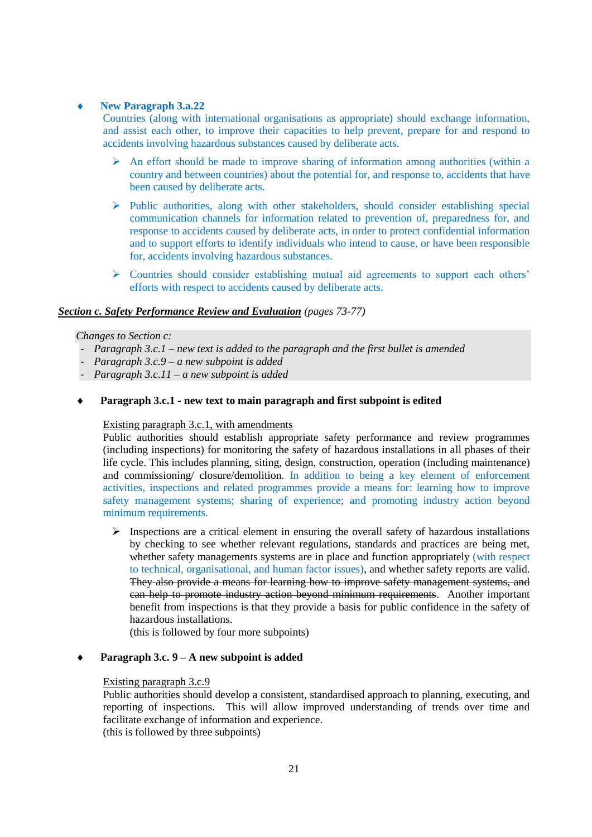# **New Paragraph 3.a.22**

Countries (along with international organisations as appropriate) should exchange information, and assist each other, to improve their capacities to help prevent, prepare for and respond to accidents involving hazardous substances caused by deliberate acts.

- $\triangleright$  An effort should be made to improve sharing of information among authorities (within a country and between countries) about the potential for, and response to, accidents that have been caused by deliberate acts.
- $\triangleright$  Public authorities, along with other stakeholders, should consider establishing special communication channels for information related to prevention of, preparedness for, and response to accidents caused by deliberate acts, in order to protect confidential information and to support efforts to identify individuals who intend to cause, or have been responsible for, accidents involving hazardous substances.
- $\triangleright$  Countries should consider establishing mutual aid agreements to support each others' efforts with respect to accidents caused by deliberate acts.

# *Section c. Safety Performance Review and Evaluation (pages 73-77)*

#### *Changes to Section c:*

- *Paragraph 3.c.1 – new text is added to the paragraph and the first bullet is amended*
- *Paragraph 3.c.9 – a new subpoint is added*
- *Paragraph 3.c.11 – a new subpoint is added*

# **Paragraph 3.c.1 - new text to main paragraph and first subpoint is edited**

# Existing paragraph 3.c.1, with amendments

Public authorities should establish appropriate safety performance and review programmes (including inspections) for monitoring the safety of hazardous installations in all phases of their life cycle. This includes planning, siting, design, construction, operation (including maintenance) and commissioning/ closure/demolition. In addition to being a key element of enforcement activities, inspections and related programmes provide a means for: learning how to improve safety management systems; sharing of experience; and promoting industry action beyond minimum requirements.

 $\triangleright$  Inspections are a critical element in ensuring the overall safety of hazardous installations by checking to see whether relevant regulations, standards and practices are being met, whether safety managements systems are in place and function appropriately (with respect to technical, organisational, and human factor issues), and whether safety reports are valid. They also provide a means for learning how to improve safety management systems, and can help to promote industry action beyond minimum requirements. Another important benefit from inspections is that they provide a basis for public confidence in the safety of hazardous installations.

(this is followed by four more subpoints)

# **Paragraph 3.c. 9 – A new subpoint is added**

#### Existing paragraph 3.c.9

Public authorities should develop a consistent, standardised approach to planning, executing, and reporting of inspections. This will allow improved understanding of trends over time and facilitate exchange of information and experience. (this is followed by three subpoints)

21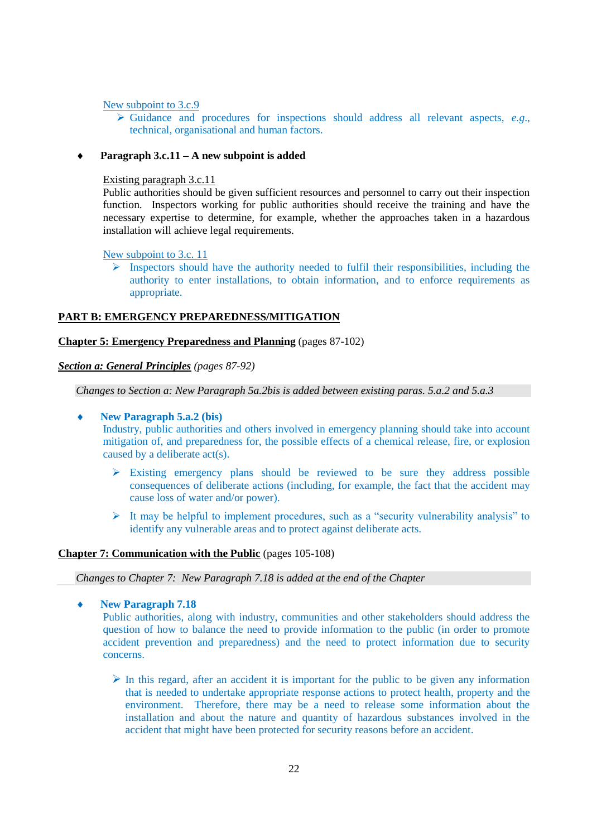New subpoint to 3.c.9

 $\triangleright$  Guidance and procedures for inspections should address all relevant aspects, *e.g.*, technical, organisational and human factors.

#### **Paragraph 3.c.11 – A new subpoint is added**

Existing paragraph 3.c.11

Public authorities should be given sufficient resources and personnel to carry out their inspection function. Inspectors working for public authorities should receive the training and have the necessary expertise to determine, for example, whether the approaches taken in a hazardous installation will achieve legal requirements.

New subpoint to 3.c. 11

 $\triangleright$  Inspectors should have the authority needed to fulfil their responsibilities, including the authority to enter installations, to obtain information, and to enforce requirements as appropriate.

#### **PART B: EMERGENCY PREPAREDNESS/MITIGATION**

#### **Chapter 5: Emergency Preparedness and Planning** (pages 87-102)

*Section a: General Principles (pages 87-92)*

*Changes to Section a: New Paragraph 5a.2bis is added between existing paras. 5.a.2 and 5.a.3*

**New Paragraph 5.a.2 (bis)**

Industry, public authorities and others involved in emergency planning should take into account mitigation of, and preparedness for, the possible effects of a chemical release, fire, or explosion caused by a deliberate act(s).

- $\triangleright$  Existing emergency plans should be reviewed to be sure they address possible consequences of deliberate actions (including, for example, the fact that the accident may cause loss of water and/or power).
- $\triangleright$  It may be helpful to implement procedures, such as a "security vulnerability analysis" to identify any vulnerable areas and to protect against deliberate acts.

#### **Chapter 7: Communication with the Public** (pages 105-108)

*Changes to Chapter 7: New Paragraph 7.18 is added at the end of the Chapter*

- **New Paragraph 7.18**  Public authorities, along with industry, communities and other stakeholders should address the question of how to balance the need to provide information to the public (in order to promote accident prevention and preparedness) and the need to protect information due to security concerns.
	- $\triangleright$  In this regard, after an accident it is important for the public to be given any information that is needed to undertake appropriate response actions to protect health, property and the environment. Therefore, there may be a need to release some information about the installation and about the nature and quantity of hazardous substances involved in the accident that might have been protected for security reasons before an accident.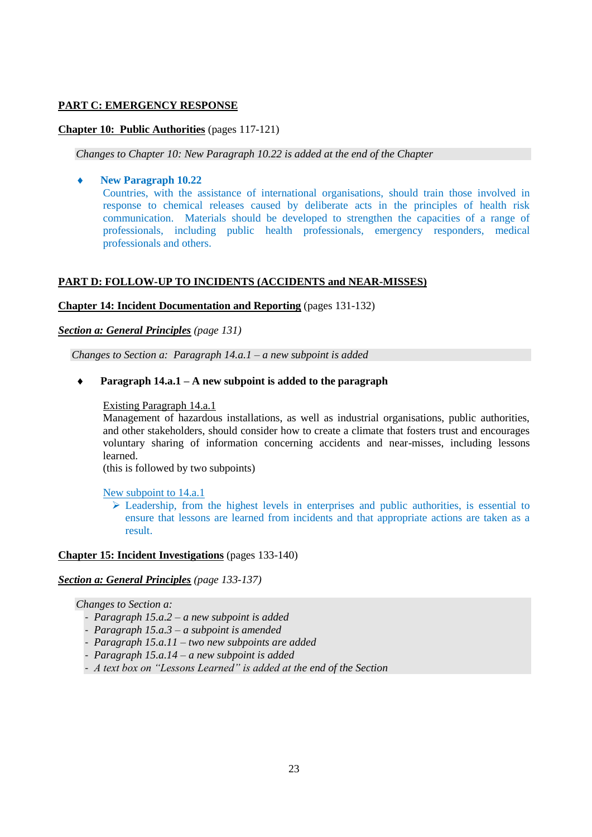### **PART C: EMERGENCY RESPONSE**

#### **Chapter 10: Public Authorities** (pages 117-121)

*Changes to Chapter 10: New Paragraph 10.22 is added at the end of the Chapter*

#### **New Paragraph 10.22**

Countries, with the assistance of international organisations, should train those involved in response to chemical releases caused by deliberate acts in the principles of health risk communication. Materials should be developed to strengthen the capacities of a range of professionals, including public health professionals, emergency responders, medical professionals and others.

#### **PART D: FOLLOW-UP TO INCIDENTS (ACCIDENTS and NEAR-MISSES)**

#### **Chapter 14: Incident Documentation and Reporting** (pages 131-132)

#### *Section a: General Principles (page 131)*

*Changes to Section a: Paragraph 14.a.1 – a new subpoint is added*

#### **Paragraph 14.a.1 – A new subpoint is added to the paragraph**

Existing Paragraph 14.a.1

Management of hazardous installations, as well as industrial organisations, public authorities, and other stakeholders, should consider how to create a climate that fosters trust and encourages voluntary sharing of information concerning accidents and near-misses, including lessons learned.

(this is followed by two subpoints)

#### New subpoint to 14.a.1

 $\triangleright$  Leadership, from the highest levels in enterprises and public authorities, is essential to ensure that lessons are learned from incidents and that appropriate actions are taken as a result.

#### **Chapter 15: Incident Investigations** (pages 133-140)

#### *Section a: General Principles (page 133-137)*

#### *Changes to Section a:*

- *Paragraph 15.a.2 – a new subpoint is added*
- *Paragraph 15.a.3 – a subpoint is amended*
- *Paragraph 15.a.11 – two new subpoints are added*
- *Paragraph 15.a.14 – a new subpoint is added*
- *A text box on "Lessons Learned" is added at the end of the Section*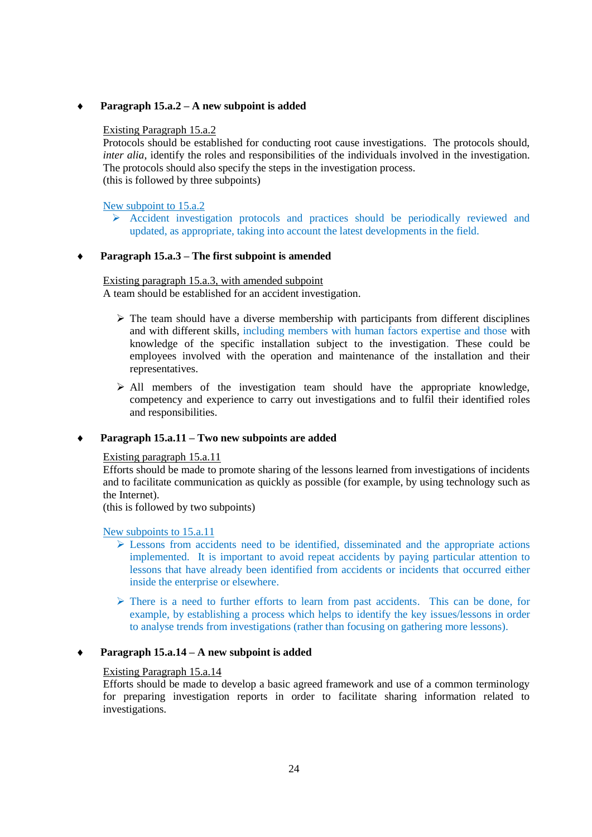#### **Paragraph 15.a.2 – A new subpoint is added**

#### Existing Paragraph 15.a.2

Protocols should be established for conducting root cause investigations. The protocols should, *inter alia*, identify the roles and responsibilities of the individuals involved in the investigation. The protocols should also specify the steps in the investigation process. (this is followed by three subpoints)

#### New subpoint to 15.a.2

 Accident investigation protocols and practices should be periodically reviewed and updated, as appropriate, taking into account the latest developments in the field.

#### **Paragraph 15.a.3 – The first subpoint is amended**

# Existing paragraph 15.a.3, with amended subpoint

A team should be established for an accident investigation.

- $\triangleright$  The team should have a diverse membership with participants from different disciplines and with different skills, including members with human factors expertise and those with knowledge of the specific installation subject to the investigation. These could be employees involved with the operation and maintenance of the installation and their representatives.
- $\geq$  All members of the investigation team should have the appropriate knowledge, competency and experience to carry out investigations and to fulfil their identified roles and responsibilities.

#### **Paragraph 15.a.11 – Two new subpoints are added**

#### Existing paragraph 15.a.11

Efforts should be made to promote sharing of the lessons learned from investigations of incidents and to facilitate communication as quickly as possible (for example, by using technology such as the Internet).

(this is followed by two subpoints)

#### New subpoints to 15.a.11

- Lessons from accidents need to be identified, disseminated and the appropriate actions implemented. It is important to avoid repeat accidents by paying particular attention to lessons that have already been identified from accidents or incidents that occurred either inside the enterprise or elsewhere.
- $\triangleright$  There is a need to further efforts to learn from past accidents. This can be done, for example, by establishing a process which helps to identify the key issues/lessons in order to analyse trends from investigations (rather than focusing on gathering more lessons).

#### **Paragraph 15.a.14 – A new subpoint is added**

#### Existing Paragraph 15.a.14

Efforts should be made to develop a basic agreed framework and use of a common terminology for preparing investigation reports in order to facilitate sharing information related to investigations.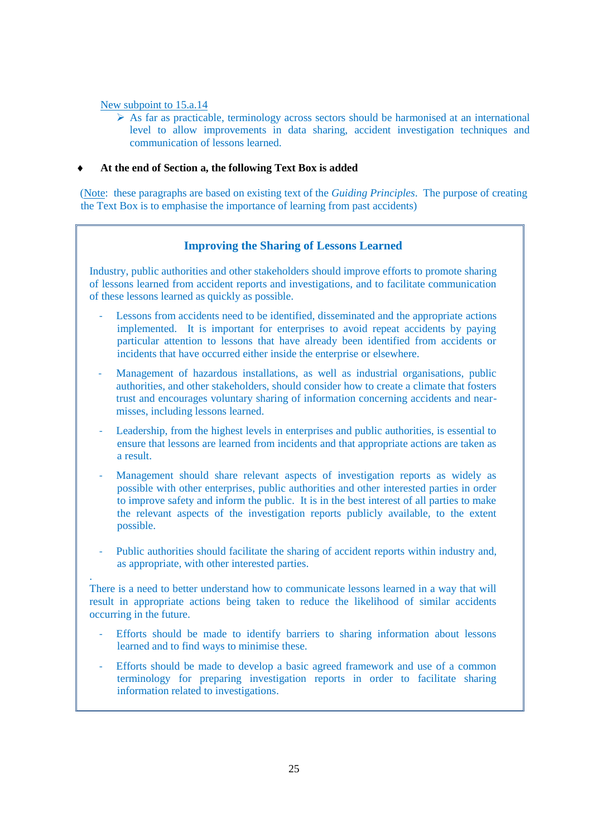### New subpoint to 15.a.14

.

 $\triangleright$  As far as practicable, terminology across sectors should be harmonised at an international level to allow improvements in data sharing, accident investigation techniques and communication of lessons learned.

#### **At the end of Section a, the following Text Box is added**

(Note: these paragraphs are based on existing text of the *Guiding Principles*. The purpose of creating the Text Box is to emphasise the importance of learning from past accidents)

# **Improving the Sharing of Lessons Learned**

Industry, public authorities and other stakeholders should improve efforts to promote sharing of lessons learned from accident reports and investigations, and to facilitate communication of these lessons learned as quickly as possible.

- Lessons from accidents need to be identified, disseminated and the appropriate actions implemented. It is important for enterprises to avoid repeat accidents by paying particular attention to lessons that have already been identified from accidents or incidents that have occurred either inside the enterprise or elsewhere.
- Management of hazardous installations, as well as industrial organisations, public authorities, and other stakeholders, should consider how to create a climate that fosters trust and encourages voluntary sharing of information concerning accidents and nearmisses, including lessons learned.
- Leadership, from the highest levels in enterprises and public authorities, is essential to ensure that lessons are learned from incidents and that appropriate actions are taken as a result.
- Management should share relevant aspects of investigation reports as widely as possible with other enterprises, public authorities and other interested parties in order to improve safety and inform the public. It is in the best interest of all parties to make the relevant aspects of the investigation reports publicly available, to the extent possible.
- Public authorities should facilitate the sharing of accident reports within industry and, as appropriate, with other interested parties.

There is a need to better understand how to communicate lessons learned in a way that will result in appropriate actions being taken to reduce the likelihood of similar accidents occurring in the future.

- Efforts should be made to identify barriers to sharing information about lessons learned and to find ways to minimise these.
- Efforts should be made to develop a basic agreed framework and use of a common terminology for preparing investigation reports in order to facilitate sharing information related to investigations.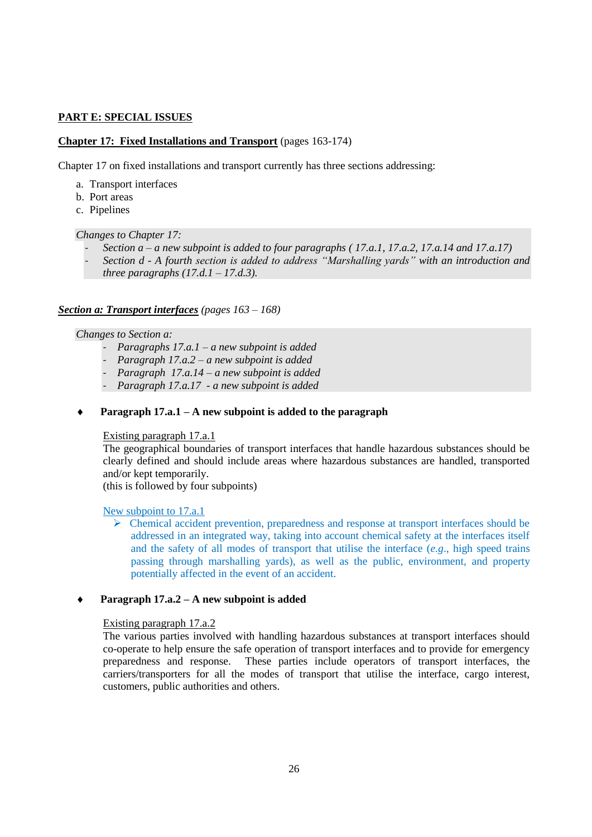# **PART E: SPECIAL ISSUES**

#### **Chapter 17: Fixed Installations and Transport** (pages 163-174)

Chapter 17 on fixed installations and transport currently has three sections addressing:

- a. Transport interfaces
- b. Port areas
- c. Pipelines

# *Changes to Chapter 17:*

- *Section a – a new subpoint is added to four paragraphs ( 17.a.1, 17.a.2, 17.a.14 and 17.a.17)*
- *Section d - A fourth section is added to address "Marshalling yards" with an introduction and three paragraphs (17.d.1 – 17.d.3).*

#### *Section a: Transport interfaces (pages 163 – 168)*

#### *Changes to Section a:*

- *Paragraphs 17.a.1 – a new subpoint is added*
- *Paragraph 17.a.2 – a new subpoint is added*
- *Paragraph 17.a.14 – a new subpoint is added*
- *Paragraph 17.a.17 - a new subpoint is added*

# **Paragraph 17.a.1 – A new subpoint is added to the paragraph**

#### Existing paragraph 17.a.1

The geographical boundaries of transport interfaces that handle hazardous substances should be clearly defined and should include areas where hazardous substances are handled, transported and/or kept temporarily.

(this is followed by four subpoints)

#### New subpoint to 17.a.1

 Chemical accident prevention, preparedness and response at transport interfaces should be addressed in an integrated way, taking into account chemical safety at the interfaces itself and the safety of all modes of transport that utilise the interface (*e.g*., high speed trains passing through marshalling yards), as well as the public, environment, and property potentially affected in the event of an accident.

#### **Paragraph 17.a.2 – A new subpoint is added**

#### Existing paragraph 17.a.2

The various parties involved with handling hazardous substances at transport interfaces should co-operate to help ensure the safe operation of transport interfaces and to provide for emergency preparedness and response. These parties include operators of transport interfaces, the carriers/transporters for all the modes of transport that utilise the interface, cargo interest, customers, public authorities and others.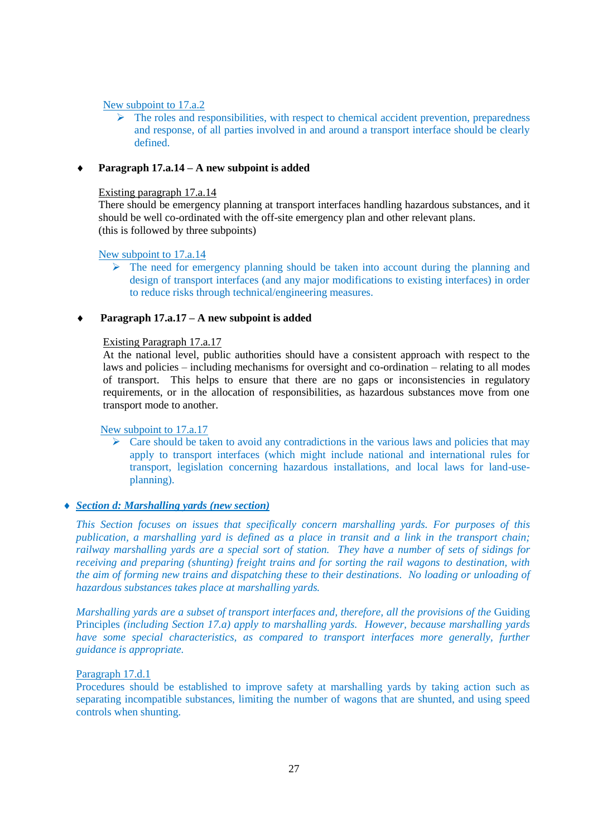#### New subpoint to 17.a.2

 $\triangleright$  The roles and responsibilities, with respect to chemical accident prevention, preparedness and response, of all parties involved in and around a transport interface should be clearly defined.

# **Paragraph 17.a.14 – A new subpoint is added**

#### Existing paragraph 17.a.14

There should be emergency planning at transport interfaces handling hazardous substances, and it should be well co-ordinated with the off-site emergency plan and other relevant plans. (this is followed by three subpoints)

#### New subpoint to 17.a.14

 $\triangleright$  The need for emergency planning should be taken into account during the planning and design of transport interfaces (and any major modifications to existing interfaces) in order to reduce risks through technical/engineering measures.

#### **Paragraph 17.a.17 – A new subpoint is added**

#### Existing Paragraph 17.a.17

At the national level, public authorities should have a consistent approach with respect to the laws and policies – including mechanisms for oversight and co-ordination – relating to all modes of transport. This helps to ensure that there are no gaps or inconsistencies in regulatory requirements, or in the allocation of responsibilities, as hazardous substances move from one transport mode to another.

#### New subpoint to 17.a.17

 $\triangleright$  Care should be taken to avoid any contradictions in the various laws and policies that may apply to transport interfaces (which might include national and international rules for transport, legislation concerning hazardous installations, and local laws for land-useplanning).

# *Section d: Marshalling yards (new section)*

*This Section focuses on issues that specifically concern marshalling yards. For purposes of this publication, a marshalling yard is defined as a place in transit and a link in the transport chain; railway marshalling yards are a special sort of station. They have a number of sets of sidings for receiving and preparing (shunting) freight trains and for sorting the rail wagons to destination, with the aim of forming new trains and dispatching these to their destinations. No loading or unloading of hazardous substances takes place at marshalling yards.*

*Marshalling yards are a subset of transport interfaces and, therefore, all the provisions of the* Guiding Principles *(including Section 17.a) apply to marshalling yards. However, because marshalling yards have some special characteristics, as compared to transport interfaces more generally, further guidance is appropriate.* 

#### Paragraph 17.d.1

Procedures should be established to improve safety at marshalling yards by taking action such as separating incompatible substances, limiting the number of wagons that are shunted, and using speed controls when shunting.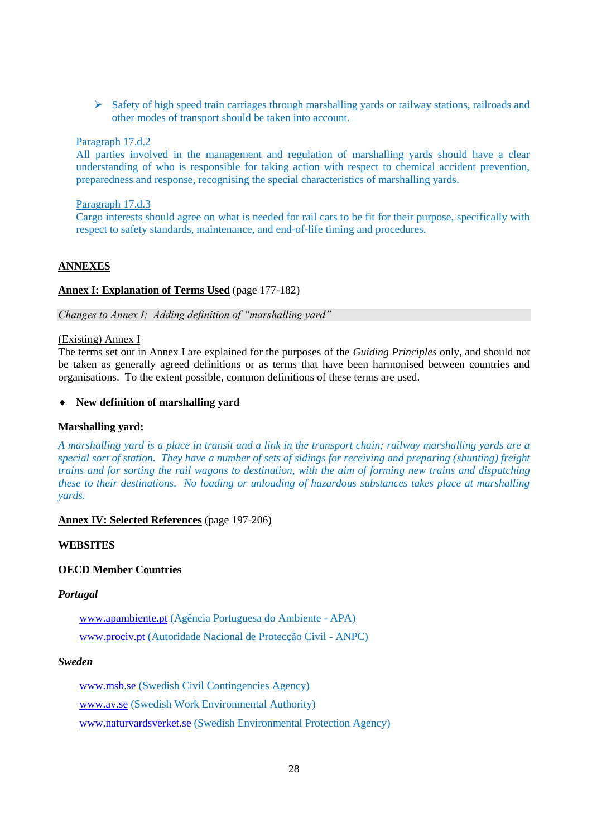$\triangleright$  Safety of high speed train carriages through marshalling yards or railway stations, railroads and other modes of transport should be taken into account.

#### Paragraph 17.d.2

All parties involved in the management and regulation of marshalling yards should have a clear understanding of who is responsible for taking action with respect to chemical accident prevention, preparedness and response, recognising the special characteristics of marshalling yards.

#### Paragraph 17.d.3

Cargo interests should agree on what is needed for rail cars to be fit for their purpose, specifically with respect to safety standards, maintenance, and end-of-life timing and procedures.

# **ANNEXES**

#### **Annex I: Explanation of Terms Used** (page 177-182)

*Changes to Annex I: Adding definition of "marshalling yard"*

#### (Existing) Annex I

The terms set out in Annex I are explained for the purposes of the *Guiding Principles* only, and should not be taken as generally agreed definitions or as terms that have been harmonised between countries and organisations. To the extent possible, common definitions of these terms are used.

#### **New definition of marshalling yard**

#### **Marshalling yard:**

*A marshalling yard is a place in transit and a link in the transport chain; railway marshalling yards are a special sort of station. They have a number of sets of sidings for receiving and preparing (shunting) freight trains and for sorting the rail wagons to destination, with the aim of forming new trains and dispatching these to their destinations. No loading or unloading of hazardous substances takes place at marshalling yards.*

#### **Annex IV: Selected References** (page 197-206)

#### **WEBSITES**

# **OECD Member Countries**

#### *Portugal*

[www.apambiente.pt](http://www.apambiente.pt/) (Agência Portuguesa do Ambiente - APA) [www.prociv.pt](http://www.prociv.pt/) (Autoridade Nacional de Protecção Civil - ANPC)

#### *Sweden*

[www.msb.se](http://www.msb.se/) (Swedish Civil Contingencies Agency) [www.av.se](http://www.av.se/) (Swedish Work Environmental Authority) [www.naturvardsverket.se](http://www.naturvardsverket.se/) (Swedish Environmental Protection Agency)